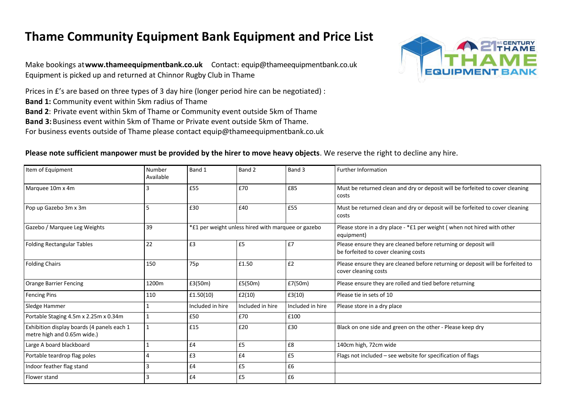## **Thame Community Equipment Bank Equipment and Price List**

Make bookings at**www.thameequipmentbank.co.uk** Contact: equip@thameequipmentbank.co.uk Equipment is picked up and returned at Chinnor Rugby Club in Thame

Prices in £'s are based on three types of 3 day hire (longer period hire can be negotiated) :

**Band 1:** Community event within 5km radius of Thame

**Band 2**: Private event within 5km of Thame or Community event outside 5km of Thame

**Band 3:**Business event within 5km of Thame or Private event outside 5km of Thame.

For business events outside of Thame please contact equip@thameequipmentbank.co.uk



## **Please note sufficient manpower must be provided by the hirer to move heavy objects**. We reserve the right to decline any hire.

| Item of Equipment                                                         | Number<br>Available | Band 1           | Band 2                                             | Band 3           | <b>Further Information</b>                                                                              |
|---------------------------------------------------------------------------|---------------------|------------------|----------------------------------------------------|------------------|---------------------------------------------------------------------------------------------------------|
| Marquee 10m x 4m                                                          | 3                   | £55              | £70                                                | £85              | Must be returned clean and dry or deposit will be forfeited to cover cleaning<br>costs                  |
| Pop up Gazebo 3m x 3m                                                     | 5                   | £30              | £40                                                | £55              | Must be returned clean and dry or deposit will be forfeited to cover cleaning<br>costs                  |
| Gazebo / Marquee Leg Weights                                              | 39                  |                  | *£1 per weight unless hired with marquee or gazebo |                  | Please store in a dry place - *£1 per weight (when not hired with other<br>equipment)                   |
| <b>Folding Rectangular Tables</b>                                         | 22                  | £3               | £5                                                 | £7               | Please ensure they are cleaned before returning or deposit will<br>be forfeited to cover cleaning costs |
| <b>Folding Chairs</b>                                                     | 150                 | 75 <sub>p</sub>  | £1.50                                              | E2               | Please ensure they are cleaned before returning or deposit will be forfeited to<br>cover cleaning costs |
| <b>Orange Barrier Fencing</b>                                             | 1200m               | £3(50m)          | £5(50m)                                            | E7(50m)          | Please ensure they are rolled and tied before returning                                                 |
| <b>Fencing Pins</b>                                                       | 110                 | £1.50(10)        | £2(10)                                             | £3(10)           | Please tie in sets of 10                                                                                |
| Sledge Hammer                                                             |                     | Included in hire | Included in hire                                   | Included in hire | Please store in a dry place                                                                             |
| Portable Staging 4.5m x 2.25m x 0.34m                                     |                     | £50              | £70                                                | £100             |                                                                                                         |
| Exhibition display boards (4 panels each 1<br>metre high and 0.65m wide.) |                     | £15              | £20                                                | £30              | Black on one side and green on the other - Please keep dry                                              |
| Large A board blackboard                                                  |                     | £4               | £5                                                 | £8               | 140cm high, 72cm wide                                                                                   |
| Portable teardrop flag poles                                              | 4                   | £3               | £4                                                 | £5               | Flags not included - see website for specification of flags                                             |
| Indoor feather flag stand                                                 | 3                   | £4               | £5                                                 | £6               |                                                                                                         |
| Flower stand                                                              | 3                   | £4               | £5                                                 | £6               |                                                                                                         |